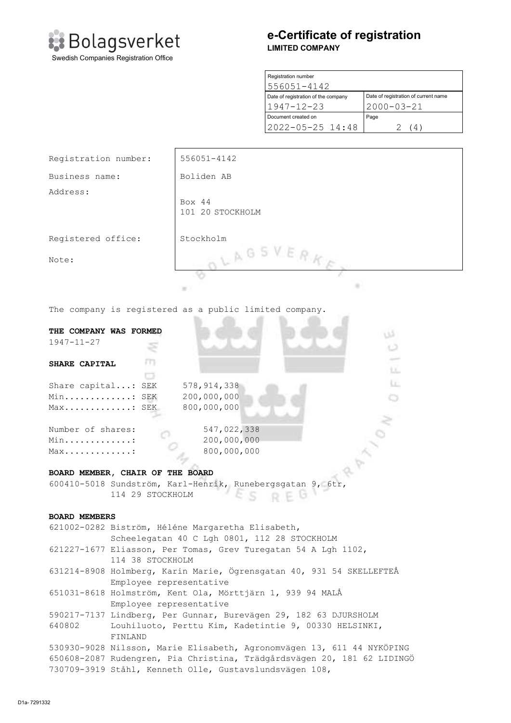

# e-Certificate of registration LIMITED COMPANY

| Registration number                 |                                      |  |
|-------------------------------------|--------------------------------------|--|
| 556051-4142                         |                                      |  |
| Date of registration of the company | Date of registration of current name |  |
| $1947 - 12 - 23$                    | $2000 - 03 - 21$                     |  |
| Document created on                 | Page                                 |  |
| 2022-05-25 14:48                    | $\frac{4}{4}$                        |  |

| <b>Bolagsverket</b><br>Swedish Companies Registration Office |                                     | <b>LIMITED COMPANY</b>                                  | e-Certificate of registration                            |  |
|--------------------------------------------------------------|-------------------------------------|---------------------------------------------------------|----------------------------------------------------------|--|
|                                                              |                                     | Registration number<br>556051-4142                      |                                                          |  |
|                                                              |                                     | Date of registration of the company<br>$1947 - 12 - 23$ | Date of registration of current name<br>$2000 - 03 - 21$ |  |
|                                                              |                                     | Document created on<br>2022-05-25 14:48                 | Page<br>2<br>(4)                                         |  |
| Registration number:<br>Business name:<br>Address:           | 556051-4142<br>Boliden AB<br>Box 44 |                                                         |                                                          |  |
| Registered office:<br>Note:                                  | 101 20 STOCKHOLM<br>Stockholm       | OLAGSVERKE                                              |                                                          |  |
| The company is registered as a public limited company.       |                                     |                                                         |                                                          |  |

The company is registered as a public limited company.

| THE COMPANY WAS FORMED              | دن                                                                      |
|-------------------------------------|-------------------------------------------------------------------------|
| $1947 - 11 - 27$                    | z                                                                       |
|                                     |                                                                         |
| SHARE CAPITAL                       | т<br>LL.                                                                |
|                                     | o                                                                       |
| Share capital: SEK                  | LE:<br>578, 914, 338                                                    |
| Min: SEK                            | 200,000,000                                                             |
| Max: SEK                            | 800,000,000                                                             |
|                                     |                                                                         |
| Number of shares:                   | 547,022,338                                                             |
| Min:                                | 200,000,000                                                             |
| $Max \ldots \ldots \ldots \ldots$ : | 800,000,000                                                             |
|                                     |                                                                         |
|                                     | BOARD MEMBER, CHAIR OF THE BOARD                                        |
|                                     | 600410-5018 Sundström, Karl-Henrik, Runebergsgatan 9, 6tr,              |
|                                     | 114 29 STOCKHOLM                                                        |
|                                     |                                                                         |
| <b>BOARD MEMBERS</b>                |                                                                         |
|                                     | 621002-0282 Biström, Héléne Margaretha Elisabeth,                       |
|                                     | Scheelegatan 40 C Lgh 0801, 112 28 STOCKHOLM                            |
|                                     | 621227-1677 Eliasson, Per Tomas, Grev Turegatan 54 A Lgh 1102,          |
|                                     | 114 38 STOCKHOLM                                                        |
|                                     | 631214-8908 Holmberg, Karin Marie, Ögrensgatan 40, 931 54 SKELLEFTEÅ    |
|                                     | Employee representative                                                 |
|                                     | 651031-8618 Holmström, Kent Ola, Mörttjärn 1, 939 94 MALÅ               |
|                                     | Employee representative                                                 |
|                                     | 590217-7137 Lindberg, Per Gunnar, Burevägen 29, 182 63 DJURSHOLM        |
| 640802                              | Louhiluoto, Perttu Kim, Kadetintie 9, 00330 HELSINKI,                   |
|                                     | FINLAND                                                                 |
|                                     | 530930-9028 Nilsson, Marie Elisabeth, Agronomvägen 13, 611 44 NYKÖPING  |
|                                     | 650608-2087 Rudengren, Pia Christina, Trädgårdsvägen 20, 181 62 LIDINGÖ |
|                                     | 730709-3919 Ståhl, Kenneth Olle, Gustavslundsvägen 108,                 |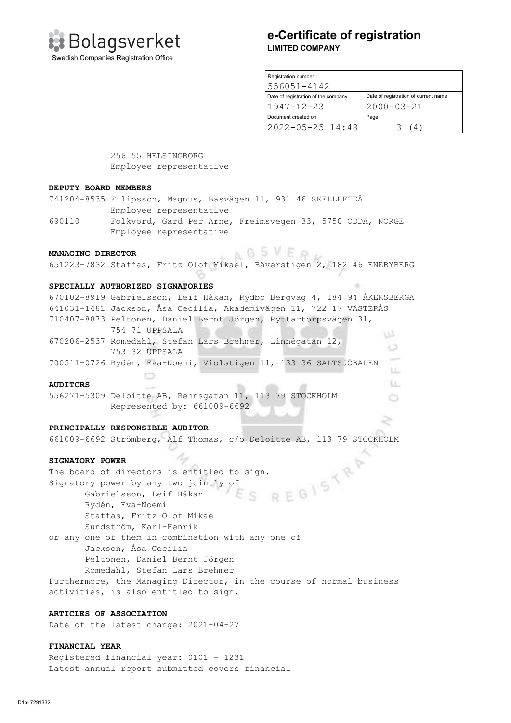

# e-Certificate of registration LIMITED COMPANY

| Registration number                 |                                      |  |
|-------------------------------------|--------------------------------------|--|
| 1556051-4142                        |                                      |  |
| Date of registration of the company | Date of registration of current name |  |
| 1947-12-23                          | $2000 - 03 - 21$                     |  |
| Document created on                 | Page                                 |  |
| 12022-05-25 14:48                   | 4                                    |  |

**LE** 

 256 55 HELSINGBORG Employee representative

#### DEPUTY BOARD MEMBERS

741204-8535 Filipsson, Magnus, Basvägen 11, 931 46 SKELLEFTEÅ Employee representative

690110 Folkvord, Gard Per Arne, Freimsvegen 33, 5750 ODDA, NORGE Employee representative

# MANAGING DIRECTOR NATIONAL BUSINESS OF SALE

651223-7832 Staffas, Fritz Olof Mikael, Bäverstigen 2, 182 46 ENEBYBERG

## SPECIALLY AUTHORIZED SIGNATORIES

670102-8919 Gabrielsson, Leif Håkan, Rydbo Bergväg 4, 184 94 ÅKERSBERGA 641031-1481 Jackson, Åsa Cecilia, Akademivägen 11, 722 17 VÄSTERÅS 710407-8873 Peltonen, Daniel Bernt Jörgen, Ryttartorpsvägen 31, 754 71 UPPSALA 670206-2537 Romedahl, Stefan Lars Brehmer, Linnégatan 12, 753 32 UPPSALA 700511-0726 Rydén, Eva-Noemi, Violstigen 11, 133 36 SALTSJÖBADEN

#### AUDITORS

556271-5309 Deloitte AB, Rehnsgatan 11, 113 79 STOCKHOLM Represented by: 661009-6692

## PRINCIPALLY RESPONSIBLE AUDITOR

 $\Box$ 

661009-6692 Strömberg, Alf Thomas, c/o Deloitte AB, 113 79 STOCKHOLM

SIGNATORY POWER<br>The board of directors is entitled to sign.<br>Signatory power by any two jointly of<br>Gabrielsson, Leif Håkan<br>Rydén, Eva-Mood The board of directors is entitled to sign. Signatory power by any two jointly of Gabrielsson, Leif Håkan Rydén, Eva-Noemi Staffas, Fritz Olof Mikael Sundström, Karl-Henrik or any one of them in combination with any one of Jackson, Åsa Cecilia

Peltonen, Daniel Bernt Jörgen

 Romedahl, Stefan Lars Brehmer Furthermore, the Managing Director, in the course of normal business activities, is also entitled to sign.

## ARTICLES OF ASSOCIATION

Date of the latest change: 2021-04-27

## FINANCIAL YEAR

Registered financial year: 0101 - 1231 Latest annual report submitted covers financial